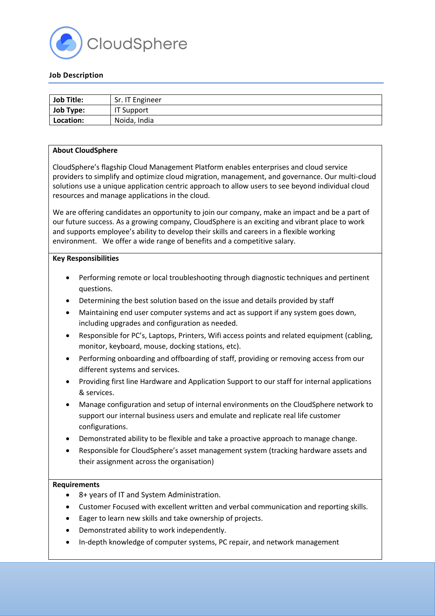

# **Job Description**

| <b>Job Title:</b> | Sr. IT Engineer |
|-------------------|-----------------|
| Job Type:         | IT Support      |
| Location:         | Noida, India    |

### **About CloudSphere**

CloudSphere's flagship Cloud Management Platform enables enterprises and cloud service providers to simplify and optimize cloud migration, management, and governance. Our multi-cloud solutions use a unique application centric approach to allow users to see beyond individual cloud resources and manage applications in the cloud.

We are offering candidates an opportunity to join our company, make an impact and be a part of our future success. As a growing company, CloudSphere is an exciting and vibrant place to work and supports employee's ability to develop their skills and careers in a flexible working environment. We offer a wide range of benefits and a competitive salary.

#### **Key Responsibilities**

- Performing remote or local troubleshooting through diagnostic techniques and pertinent questions.
- Determining the best solution based on the issue and details provided by staff
- Maintaining end user computer systems and act as support if any system goes down, including upgrades and configuration as needed.
- Responsible for PC's, Laptops, Printers, Wifi access points and related equipment (cabling, monitor, keyboard, mouse, docking stations, etc).
- Performing onboarding and offboarding of staff, providing or removing access from our different systems and services.
- Providing first line Hardware and Application Support to our staff for internal applications & services.
- Manage configuration and setup of internal environments on the CloudSphere network to support our internal business users and emulate and replicate real life customer configurations.
- Demonstrated ability to be flexible and take a proactive approach to manage change.
- Responsible for CloudSphere's asset management system (tracking hardware assets and their assignment across the organisation)

### **Requirements**

- 8+ years of IT and System Administration.
- Customer Focused with excellent written and verbal communication and reporting skills.
- Eager to learn new skills and take ownership of projects.
- Demonstrated ability to work independently.
- In-depth knowledge of computer systems, PC repair, and network management